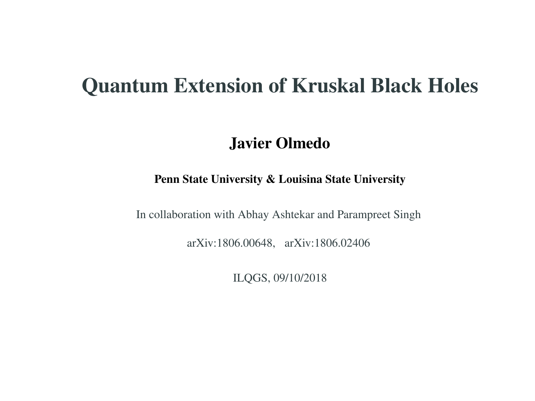#### Quantum Extension of Kruskal Black Holes

#### Javier Olmedo

#### Penn State University & Louisina State University

In collaboration with Abhay Ashtekar and Parampreet Singh

arXiv:1806.00648, arXiv:1806.02406

ILQGS, 09/10/2018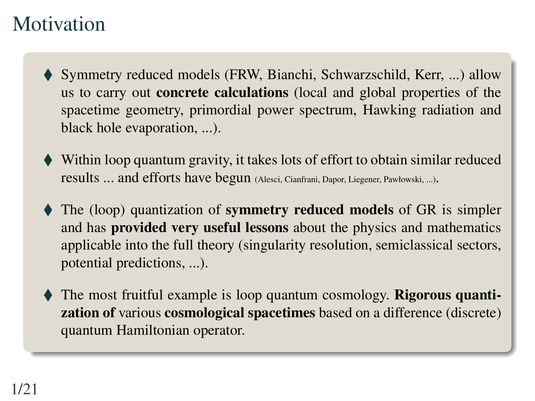#### **Motivation**

- ◆ Symmetry reduced models (FRW, Bianchi, Schwarzschild, Kerr, ...) allow us to carry out concrete calculations (local and global properties of the spacetime geometry, primordial power spectrum, Hawking radiation and black hole evaporation, ...).
- Within loop quantum gravity, it takes lots of effort to obtain similar reduced results ... and efforts have begun (Alesci, Cianfrani, Dapor, Liegener, Pawłowski, ...).
- The (loop) quantization of **symmetry reduced models** of GR is simpler and has provided very useful lessons about the physics and mathematics applicable into the full theory (singularity resolution, semiclassical sectors, potential predictions, ...).
- The most fruitful example is loop quantum cosmology. Rigorous quantization of various cosmological spacetimes based on a difference (discrete) quantum Hamiltonian operator.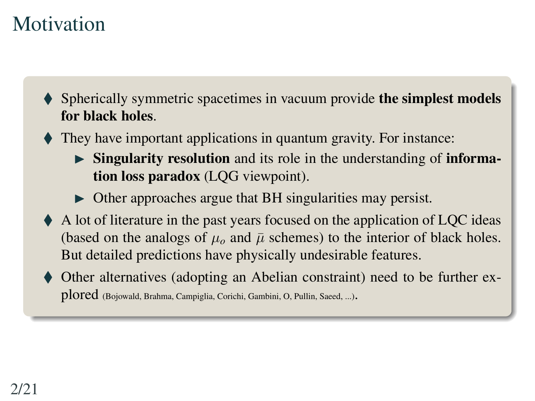# Motivation

- Spherically symmetric spacetimes in vacuum provide the simplest models for black holes.
- They have important applications in quantum gravity. For instance:
	- $\triangleright$  Singularity resolution and its role in the understanding of information loss paradox (LQG viewpoint).
	- $\triangleright$  Other approaches argue that BH singularities may persist.
- A lot of literature in the past years focused on the application of LQC ideas (based on the analogs of  $\mu_0$  and  $\bar{\mu}$  schemes) to the interior of black holes. But detailed predictions have physically undesirable features.
- Other alternatives (adopting an Abelian constraint) need to be further explored (Bojowald, Brahma, Campiglia, Corichi, Gambini, O, Pullin, Saeed, ...).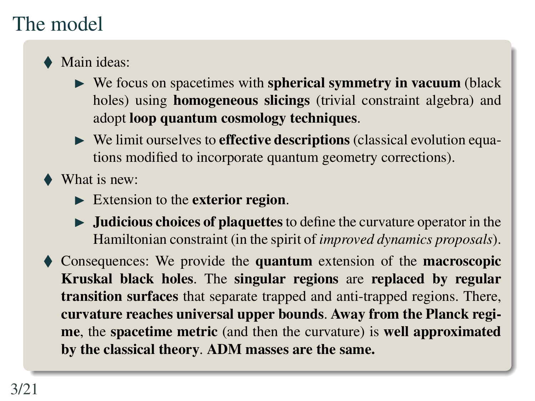# The model

- ◆ Main ideas:
	- $\triangleright$  We focus on spacetimes with spherical symmetry in vacuum (black holes) using homogeneous slicings (trivial constraint algebra) and adopt loop quantum cosmology techniques.
	- $\triangleright$  We limit ourselves to **effective descriptions** (classical evolution equations modified to incorporate quantum geometry corrections).
- What is new:
	- $\triangleright$  Extension to the exterior region.
	- $\triangleright$  **Judicious choices of plaquettes** to define the curvature operator in the Hamiltonian constraint (in the spirit of *improved dynamics proposals*).

 Consequences: We provide the quantum extension of the macroscopic Kruskal black holes. The singular regions are replaced by regular transition surfaces that separate trapped and anti-trapped regions. There, curvature reaches universal upper bounds. Away from the Planck regime, the spacetime metric (and then the curvature) is well approximated by the classical theory. ADM masses are the same.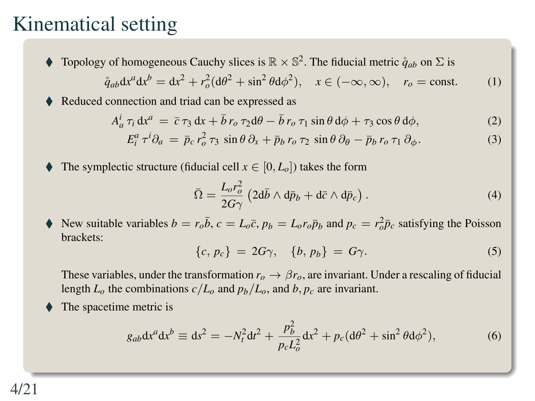#### Kinematical setting

 $\blacklozenge$  Topology of homogeneous Cauchy slices is  $\mathbb{R} \times \mathbb{S}^2$ . The fiducial metric  $\mathring{q}_{ab}$  on  $\Sigma$  is

$$
\mathring{q}_{ab} \mathrm{d}x^a \mathrm{d}x^b = \mathrm{d}x^2 + r_o^2 (\mathrm{d}\theta^2 + \sin^2 \theta \mathrm{d}\phi^2), \quad x \in (-\infty, \infty), \quad r_o = \text{const.} \tag{1}
$$

Reduced connection and triad can be expressed as

$$
A_a^i \tau_i \, dx^a = \bar{c} \tau_3 \, dx + \bar{b} \, r_o \, \tau_2 \, d\theta - \bar{b} \, r_o \, \tau_1 \sin \theta \, d\phi + \tau_3 \cos \theta \, d\phi,\tag{2}
$$

$$
E_i^a \tau^i \partial_a = \bar{p}_c r_o^2 \tau_3 \sin \theta \partial_x + \bar{p}_b r_o \tau_2 \sin \theta \partial_\theta - \bar{p}_b r_o \tau_1 \partial_\phi.
$$
 (3)

The symplectic structure (fiducial cell  $x \in [0, L_0]$ ) takes the form

$$
\bar{\Omega} = \frac{L_o r_o^2}{2G\gamma} \left( 2\mathrm{d}\bar{b} \wedge \mathrm{d}\bar{p}_b + \mathrm{d}\bar{c} \wedge \mathrm{d}\bar{p}_c \right). \tag{4}
$$

New suitable variables  $b = r_o \bar{b}$ ,  $c = L_o \bar{c}$ ,  $p_b = L_o r_o \bar{p}_b$  and  $p_c = r_o^2 \bar{p}_c$  satisfying the Poisson brackets:

$$
\{c, p_c\} = 2G\gamma, \quad \{b, p_b\} = G\gamma. \tag{5}
$$

These variables, under the transformation  $r<sub>o</sub> \rightarrow \beta r<sub>o</sub>$ , are invariant. Under a rescaling of fiducial length  $L<sub>o</sub>$  the combinations  $c/L<sub>o</sub>$  and  $p<sub>b</sub>/L<sub>o</sub>$ , and  $b, p<sub>c</sub>$  are invariant.

The spacetime metric is

$$
g_{ab}dx^{a}dx^{b} \equiv ds^{2} = -N_{t}^{2}dt^{2} + \frac{p_{b}^{2}}{p_{c}L_{o}^{2}}dx^{2} + p_{c}(d\theta^{2} + \sin^{2}\theta d\phi^{2}),
$$
 (6)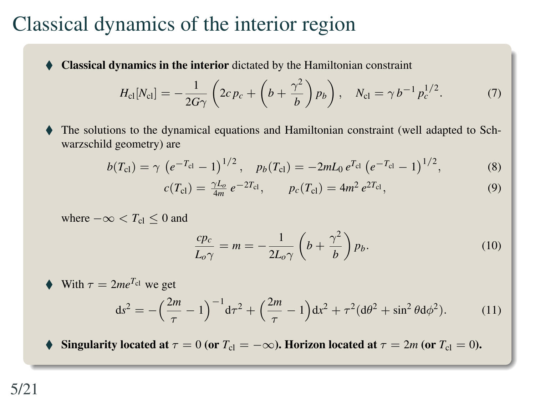#### Classical dynamics of the interior region

Classical dynamics in the interior dictated by the Hamiltonian constraint

$$
H_{\rm cl}[N_{\rm cl}] = -\frac{1}{2G\gamma} \left(2c p_c + \left(b + \frac{\gamma^2}{b}\right) p_b\right), \quad N_{\rm cl} = \gamma b^{-1} p_c^{1/2}.
$$
 (7)

 The solutions to the dynamical equations and Hamiltonian constraint (well adapted to Schwarzschild geometry) are

$$
b(T_{\rm cl}) = \gamma \, \left(e^{-T_{\rm cl}} - 1\right)^{1/2}, \quad p_b(T_{\rm cl}) = -2mL_0 \, e^{T_{\rm cl}} \left(e^{-T_{\rm cl}} - 1\right)^{1/2},\tag{8}
$$

$$
c(T_{\rm cl}) = \frac{\gamma L_o}{4m} \, e^{-2T_{\rm cl}}, \qquad p_c(T_{\rm cl}) = 4m^2 \, e^{2T_{\rm cl}}, \tag{9}
$$

where  $-\infty < T_{\rm cl} < 0$  and

$$
\frac{cp_c}{L_o\gamma} = m = -\frac{1}{2L_o\gamma} \left( b + \frac{\gamma^2}{b} \right) p_b.
$$
 (10)

$$
∴ With τ = 2meTcl we get\nds2 = -(\frac{2m}{τ} - 1)-1 dτ2 + (\frac{2m}{τ} - 1) dx2 + τ2 (dθ2 + sin2 θ dφ2). (11)
$$

Singularity located at  $\tau = 0$  (or  $T_{\text{cl}} = -\infty$ ). Horizon located at  $\tau = 2m$  (or  $T_{\text{cl}} = 0$ ).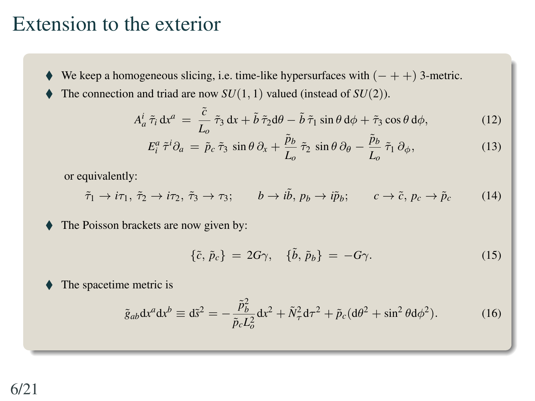#### Extension to the exterior

- We keep a homogeneous slicing, i.e. time-like hypersurfaces with  $(- + +)$  3-metric.
	- The connection and triad are now *SU*(1, 1) valued (instead of *SU*(2)).

$$
A_a^i \tilde{\tau}_i \, \mathrm{d} x^a \, = \, \frac{\tilde{c}}{L_o} \, \tilde{\tau}_3 \, \mathrm{d} x + \tilde{b} \, \tilde{\tau}_2 \mathrm{d} \theta - \tilde{b} \, \tilde{\tau}_1 \sin \theta \, \mathrm{d} \phi + \tilde{\tau}_3 \cos \theta \, \mathrm{d} \phi, \tag{12}
$$

$$
E_i^a \tilde{\tau}^i \partial_a = \tilde{p}_c \tilde{\tau}_3 \sin \theta \partial_x + \frac{\tilde{p}_b}{L_o} \tilde{\tau}_2 \sin \theta \partial_\theta - \frac{\tilde{p}_b}{L_o} \tilde{\tau}_1 \partial_\phi, \tag{13}
$$

or equivalently:

$$
\tilde{\tau}_1 \to i\tau_1, \tilde{\tau}_2 \to i\tau_2, \tilde{\tau}_3 \to \tau_3; \qquad b \to i\tilde{b}, \, p_b \to i\tilde{p}_b; \qquad c \to \tilde{c}, \, p_c \to \tilde{p}_c \tag{14}
$$

The Poisson brackets are now given by:

$$
\{\tilde{c},\tilde{p}_c\} = 2G\gamma, \quad \{\tilde{b},\tilde{p}_b\} = -G\gamma. \tag{15}
$$

 $\blacklozenge$  The spacetime metric is

$$
\tilde{g}_{ab} \mathrm{d} x^a \mathrm{d} x^b \equiv \mathrm{d} \tilde{s}^2 = -\frac{\tilde{p}_b^2}{\tilde{p}_c L_o^2} \mathrm{d} x^2 + \tilde{N}_\tau^2 \mathrm{d} \tau^2 + \tilde{p}_c (\mathrm{d} \theta^2 + \sin^2 \theta \mathrm{d} \phi^2). \tag{16}
$$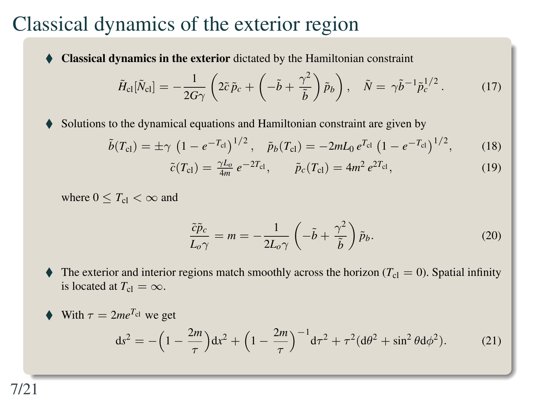#### Classical dynamics of the exterior region

Classical dynamics in the exterior dictated by the Hamiltonian constraint

$$
\tilde{H}_{\rm cl}[\tilde{N}_{\rm cl}] = -\frac{1}{2G\gamma} \left( 2\tilde{c}\,\tilde{p}_c + \left( -\tilde{b} + \frac{\gamma^2}{\tilde{b}} \right) \tilde{p}_b \right), \quad \tilde{N} = \gamma \tilde{b}^{-1} \tilde{p}_c^{1/2} \,. \tag{17}
$$

Solutions to the dynamical equations and Hamiltonian constraint are given by

$$
\tilde{b}(T_{\rm cl}) = \pm \gamma \, \left(1 - e^{-T_{\rm cl}}\right)^{1/2}, \quad \tilde{p}_b(T_{\rm cl}) = -2mL_0 \, e^{T_{\rm cl}} \left(1 - e^{-T_{\rm cl}}\right)^{1/2},\tag{18}
$$

$$
\tilde{c}(T_{\rm cl}) = \frac{\gamma L_o}{4m} \, e^{-2T_{\rm cl}}, \qquad \tilde{p}_c(T_{\rm cl}) = 4m^2 \, e^{2T_{\rm cl}}, \tag{19}
$$

where  $0 \leq T_{\text{cl}} < \infty$  and

$$
\frac{\tilde{c}\tilde{p}_c}{L_o\gamma} = m = -\frac{1}{2L_o\gamma} \left( -\tilde{b} + \frac{\gamma^2}{\tilde{b}} \right) \tilde{p}_b.
$$
 (20)

The exterior and interior regions match smoothly across the horizon  $(T<sub>cl</sub> = 0)$ . Spatial infinity is located at  $T_{\text{cl}} = \infty$ .

$$
∴ With τ = 2meTcl we get\nds2 = -\left(1 - \frac{2m}{τ}\right)dx2 + \left(1 - \frac{2m}{τ}\right)^{-1}dτ2 + τ2(dθ2 + sin2θdφ2). (21)
$$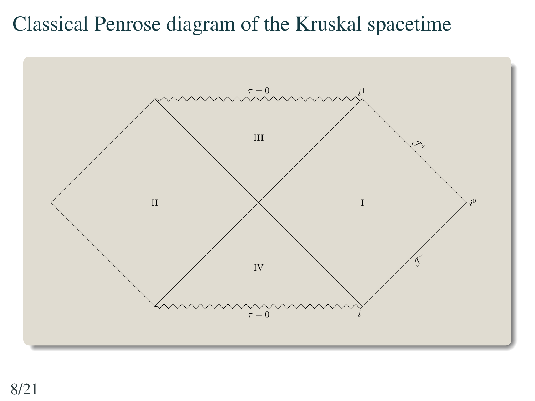### Classical Penrose diagram of the Kruskal spacetime

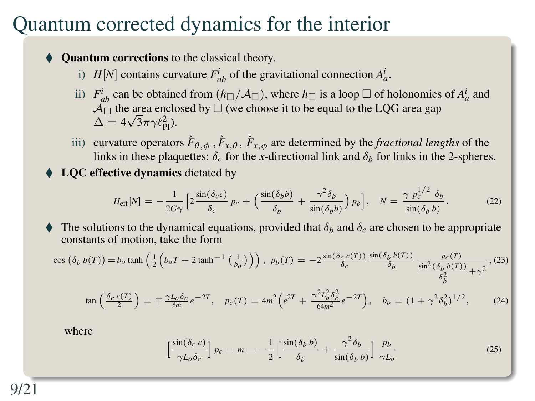#### Quantum corrected dynamics for the interior

Quantum corrections to the classical theory.

- i) *H*[*N*] contains curvature  $F_{ab}^i$  of the gravitational connection  $A_a^i$ .
- ii)  $F_{ab}^i$  can be obtained from  $(h_\square/A_\square)$ , where  $h_\square$  is a loop  $\square$  of holonomies of  $A_a^i$  and  $\overline{A_{\Box}}$  the area enclosed by  $\Box$  (we choose it to be equal to the LQG area gap  $\Delta = 4\sqrt{3}\pi\gamma \ell_{\rm Pl}^2$ ).
- iii) curvature operators  $\hat{F}_{\theta,\phi}$ ,  $\hat{F}_{x,\theta}$ ,  $\hat{F}_{x,\phi}$  are determined by the *fractional lengths* of the links in these plaquettes:  $\delta_c$  for the *x*-directional link and  $\delta_b$  for links in the 2-spheres.
- ♦ LQC effective dynamics dictated by

$$
H_{\text{eff}}[N] = -\frac{1}{2G\gamma} \left[ 2\frac{\sin(\delta_c c)}{\delta_c} p_c + \left( \frac{\sin(\delta_b b)}{\delta_b} + \frac{\gamma^2 \delta_b}{\sin(\delta_b b)} \right) p_b \right], \quad N = \frac{\gamma}{\sin(\delta_b b)}.
$$
 (22)

The solutions to the dynamical equations, provided that  $\delta_b$  and  $\delta_c$  are chosen to be appropriate constants of motion, take the form

$$
\cos\left(\delta_b b(T)\right) = b_o \tanh\left(\frac{1}{2}\left(b_o T + 2 \tanh^{-1}\left(\frac{1}{b_o}\right)\right)\right), \ p_b(T) = -2 \frac{\sin(\delta_c c(T))}{\delta_c} \frac{\sin(\delta_b b(T))}{\delta_b} \frac{p_c(T)}{\frac{\sin^2(\delta_b b(T))}{\delta_b^2} + \gamma^2}, (23)
$$

$$
\tan\left(\frac{\delta_c c(T)}{2}\right) = \mp \frac{\gamma L_o \delta_c}{8m} e^{-2T}, \quad p_c(T) = 4m^2 \left(e^{2T} + \frac{\gamma^2 L_o^2 \delta_c^2}{64m^2} e^{-2T}\right), \quad b_o = (1 + \gamma^2 \delta_b^2)^{1/2},\tag{24}
$$

where

$$
\left[\frac{\sin(\delta_c c)}{\gamma L_o \delta_c}\right] p_c = m = -\frac{1}{2} \left[\frac{\sin(\delta_b b)}{\delta_b} + \frac{\gamma^2 \delta_b}{\sin(\delta_b b)}\right] \frac{p_b}{\gamma L_o}
$$
 (25)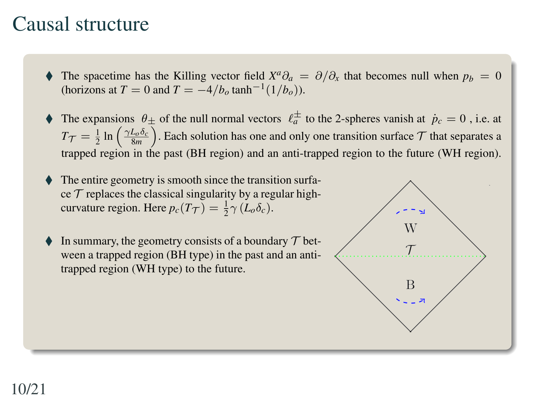#### Causal structure

- $\blacklozenge$  The spacetime has the Killing vector field *X<sup>a</sup>*∂<sub>*a*</sub> = ∂/∂<sub>*x*</sub> that becomes null when  $p_b = 0$ (horizons at *T* = 0 and *T* =  $-4/b_o \tanh^{-1}(1/b_o)$ ).
- $\blacklozenge$  The expansions  $\theta_{\pm}$  of the null normal vectors  $\ell_a^{\pm}$  to the 2-spheres vanish at  $\dot{p}_c = 0$ , i.e. at  $T_{\mathcal{T}} = \frac{1}{2} \ln \left( \frac{\gamma L_o \delta_c}{8m} \right)$ . Each solution has one and only one transition surface  $\mathcal{T}$  that separates a trapped region in the past (BH region) and an anti-trapped region to the future (WH region).
- The entire geometry is smooth since the transition surface  $\tau$  replaces the classical singularity by a regular highcurvature region. Here  $p_c(T_{\mathcal{T}}) = \frac{1}{2} \gamma (L_o \delta_c)$ .
- In summary, the geometry consists of a boundary  $\mathcal T$  between a trapped region (BH type) in the past and an antitrapped region (WH type) to the future.

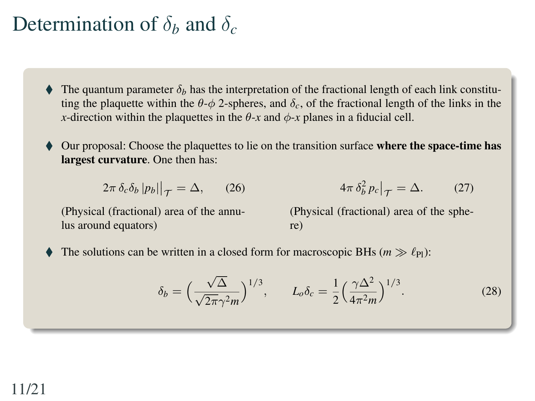#### Determination of  $\delta_b$  and  $\delta_c$

The quantum parameter  $\delta_b$  has the interpretation of the fractional length of each link constituting the plaquette within the  $\theta$ - $\phi$  2-spheres, and  $\delta_c$ , of the fractional length of the links in the *x*-direction within the plaquettes in the  $\theta$ -*x* and  $\phi$ -*x* planes in a fiducial cell.

Our proposal: Choose the plaquettes to lie on the transition surface where the space-time has largest curvature. One then has:

$$
2\pi \,\delta_c \delta_b \, |p_b||_{\mathcal{T}} = \Delta,\qquad(26)
$$

(Physical (fractional) area of the annulus around equators)

$$
4\pi \delta_b^2 p_c \big|_{\mathcal{T}} = \Delta. \tag{27}
$$

(Physical (fractional) area of the sphere)

The solutions can be written in a closed form for macroscopic BHs ( $m \gg \ell_{Pl}$ ):

$$
\delta_b = \left(\frac{\sqrt{\Delta}}{\sqrt{2\pi}\gamma^2 m}\right)^{1/3}, \qquad L_o \delta_c = \frac{1}{2} \left(\frac{\gamma \Delta^2}{4\pi^2 m}\right)^{1/3}.
$$
 (28)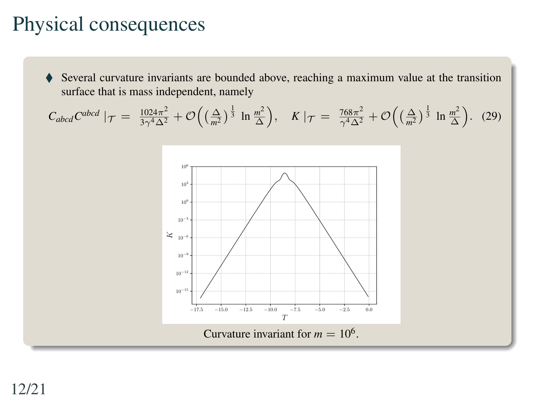#### Physical consequences

 Several curvature invariants are bounded above, reaching a maximum value at the transition surface that is mass independent, namely

$$
C_{abcd}C^{abcd} \mid \mathcal{T} = \frac{1024\pi^2}{3\gamma^4\Delta^2} + \mathcal{O}\left(\left(\frac{\Delta}{m^2}\right)^{\frac{1}{3}} \ln \frac{m^2}{\Delta}\right), \quad K \mid \mathcal{T} = \frac{768\pi^2}{\gamma^4\Delta^2} + \mathcal{O}\left(\left(\frac{\Delta}{m^2}\right)^{\frac{1}{3}} \ln \frac{m^2}{\Delta}\right). \tag{29}
$$

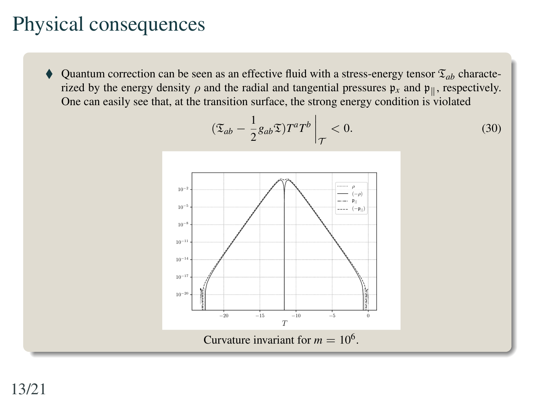#### Physical consequences

Quantum correction can be seen as an effective fluid with a stress-energy tensor  $\mathfrak{T}_{ab}$  characterized by the energy density  $\rho$  and the radial and tangential pressures  $\mathfrak{p}_x$  and  $\mathfrak{p}_{\parallel}$ , respectively. One can easily see that, at the transition surface, the strong energy condition is violated

$$
(\mathfrak{T}_{ab} - \frac{1}{2} g_{ab} \mathfrak{T}) T^a T^b \bigg|_{\mathcal{T}} < 0.
$$
 (30)

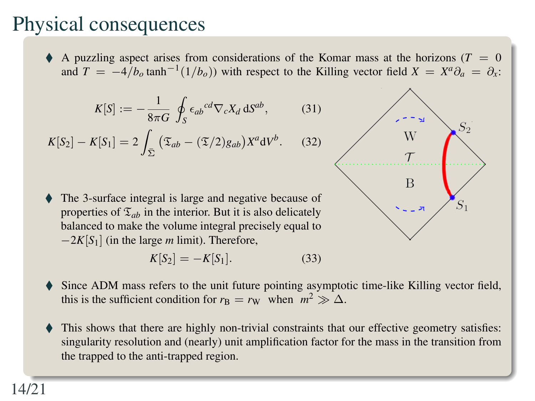## Physical consequences

A puzzling aspect arises from considerations of the Komar mass at the horizons ( $T = 0$ ) and  $T = -4/b_o \tanh^{-1}(1/b_o)$  with respect to the Killing vector field  $X = X^a \partial_a = \partial_x$ :

 $1)$ 

$$
K[S] := -\frac{1}{8\pi G} \oint_{S} \epsilon_{ab}{}^{cd} \nabla_{c} X_{d} \, \mathrm{d}S^{ab}, \tag{3}
$$

$$
K[S_2] - K[S_1] = 2 \int_{\bar{\Sigma}} (\mathfrak{T}_{ab} - (\mathfrak{T}/2)g_{ab}) X^a \mathrm{d}V^b. \tag{32}
$$

 The 3-surface integral is large and negative because of properties of  $\mathfrak{T}_{ab}$  in the interior. But it is also delicately balanced to make the volume integral precisely equal to −2*K*[*S*1] (in the large *m* limit). Therefore,

$$
K[S_2] = -K[S_1].
$$
 (33)



- Since ADM mass refers to the unit future pointing asymptotic time-like Killing vector field, this is the sufficient condition for  $r_B = r_W$  when  $m^2 \gg \Delta$ .
- This shows that there are highly non-trivial constraints that our effective geometry satisfies: singularity resolution and (nearly) unit amplification factor for the mass in the transition from the trapped to the anti-trapped region.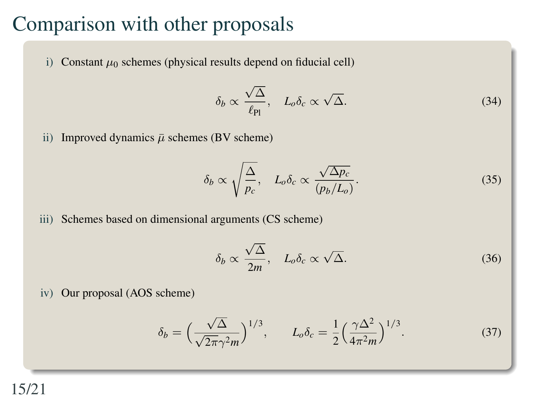#### Comparison with other proposals

i) Constant  $\mu_0$  schemes (physical results depend on fiducial cell)

$$
\delta_b \propto \frac{\sqrt{\Delta}}{\ell_{\rm Pl}}, \quad L_o \delta_c \propto \sqrt{\Delta}.\tag{34}
$$

ii) Improved dynamics  $\bar{\mu}$  schemes (BV scheme)

$$
\delta_b \propto \sqrt{\frac{\Delta}{p_c}}, \quad L_o \delta_c \propto \frac{\sqrt{\Delta p_c}}{(p_b/L_o)}.\tag{35}
$$

iii) Schemes based on dimensional arguments (CS scheme)

$$
\delta_b \propto \frac{\sqrt{\Delta}}{2m}, \quad L_o \delta_c \propto \sqrt{\Delta}.\tag{36}
$$

iv) Our proposal (AOS scheme)

$$
\delta_b = \left(\frac{\sqrt{\Delta}}{\sqrt{2\pi}\gamma^2 m}\right)^{1/3}, \qquad L_o \delta_c = \frac{1}{2} \left(\frac{\gamma \Delta^2}{4\pi^2 m}\right)^{1/3}.
$$
 (37)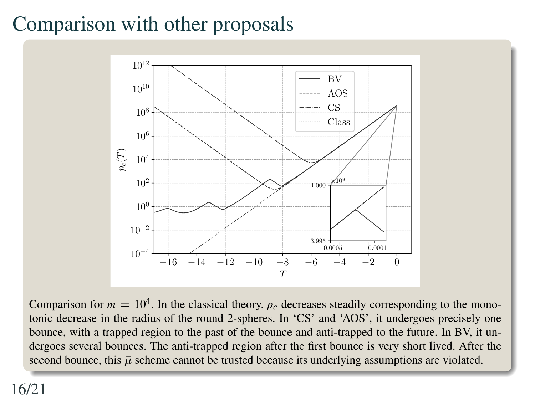# Comparison with other proposals



Comparison for  $m = 10<sup>4</sup>$ . In the classical theory,  $p_c$  decreases steadily corresponding to the monotonic decrease in the radius of the round 2-spheres. In 'CS' and 'AOS', it undergoes precisely one bounce, with a trapped region to the past of the bounce and anti-trapped to the future. In BV, it undergoes several bounces. The anti-trapped region after the first bounce is very short lived. After the second bounce, this  $\bar{\mu}$  scheme cannot be trusted because its underlying assumptions are violated.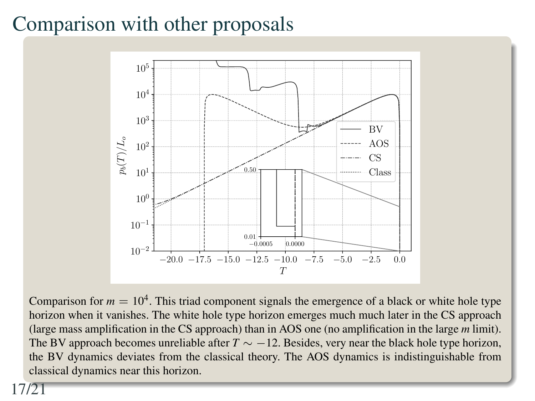### Comparison with other proposals



Comparison for  $m = 10<sup>4</sup>$ . This triad component signals the emergence of a black or white hole type horizon when it vanishes. The white hole type horizon emerges much much later in the CS approach (large mass amplification in the CS approach) than in AOS one (no amplification in the large *m* limit). The BV approach becomes unreliable after *T* ∼ −12. Besides, very near the black hole type horizon, the BV dynamics deviates from the classical theory. The AOS dynamics is indistinguishable from classical dynamics near this horizon.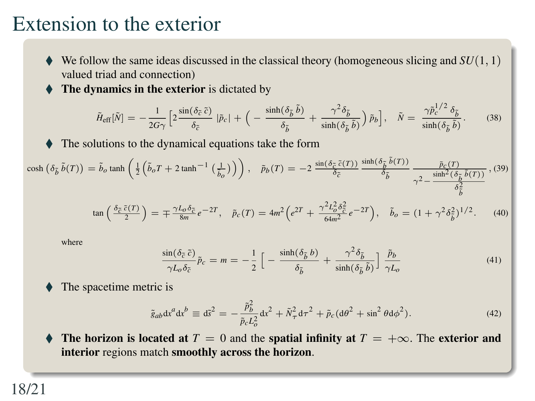#### Extension to the exterior

- $\blacklozenge$  We follow the same ideas discussed in the classical theory (homogeneous slicing and *SU*(1, 1) valued triad and connection)
- The dynamics in the exterior is dictated by

$$
\tilde{H}_{\rm eff}[\tilde{N}] = -\frac{1}{2G\gamma} \left[ 2\frac{\sin(\delta_{\tilde{c}}\,\tilde{c})}{\delta_{\tilde{c}}} \,|\tilde{p}_c| + \Big( -\frac{\sinh(\delta_{\tilde{b}}\,\tilde{b})}{\delta_{\tilde{b}}} + \frac{\gamma^2 \delta_{\tilde{b}}}{\sinh(\delta_{\tilde{b}}\,\tilde{b})} \Big) \,\tilde{p}_b \right], \quad \tilde{N} = \frac{\gamma \tilde{p}_c^{1/2} \,\delta_{\tilde{b}}}{\sinh(\delta_{\tilde{b}}\,\tilde{b})}.
$$
 (38)

The solutions to the dynamical equations take the form

$$
\cosh\left(\delta_{\tilde{b}}\,\tilde{b}(T)\right) = \tilde{b}_o \tanh\left(\frac{1}{2}\left(\tilde{b}_o T + 2\tanh^{-1}\left(\frac{1}{b_o}\right)\right)\right), \quad \tilde{p}_b(T) = -2 \frac{\sin(\delta_{\tilde{c}}\,\tilde{c}(T))}{\delta_{\tilde{c}}} \frac{\sinh(\delta_{\tilde{b}}\,\tilde{b}(T))}{\delta_{\tilde{b}}} \frac{\tilde{p}_c(T)}{\gamma^2 - \frac{\sinh^2(\delta_{\tilde{b}}\,\tilde{b}(T))}{\delta_{\tilde{b}}^2}},
$$
(39)

$$
\tan\left(\frac{\delta_{\tilde{c}}\,\tilde{c}(T)}{2}\right) = \mp \frac{\gamma L_o \delta_{\tilde{c}}}{8m} e^{-2T}, \quad \tilde{p}_c(T) = 4m^2 \Big(e^{2T} + \frac{\gamma^2 L_o^2 \delta_{\tilde{c}}^2}{64m^2} e^{-2T}\Big), \quad \tilde{b}_o = (1 + \gamma^2 \delta_{\tilde{b}}^2)^{1/2}.
$$
 (40)

where

$$
\frac{\sin(\delta_{\tilde{c}} \tilde{c})}{\gamma L_o \delta_{\tilde{c}}} \tilde{p}_c = m = -\frac{1}{2} \left[ -\frac{\sinh(\delta_{\tilde{b}} b)}{\delta_{\tilde{b}}} + \frac{\gamma^2 \delta_{\tilde{b}}}{\sinh(\delta_{\tilde{b}} \tilde{b})} \right] \frac{\tilde{p}_b}{\gamma L_o}
$$
\n(41)

The spacetime metric is

$$
\tilde{g}_{ab} \mathrm{d}x^a \mathrm{d}x^b \equiv \mathrm{d}\vec{s}^2 = -\frac{\tilde{p}_b^2}{\tilde{p}_c L_o^2} \mathrm{d}x^2 + \tilde{N}_\tau^2 \mathrm{d}\tau^2 + \tilde{p}_c (\mathrm{d}\theta^2 + \sin^2 \theta \mathrm{d}\phi^2). \tag{42}
$$

The horizon is located at  $T = 0$  and the spatial infinity at  $T = +\infty$ . The exterior and interior regions match smoothly across the horizon.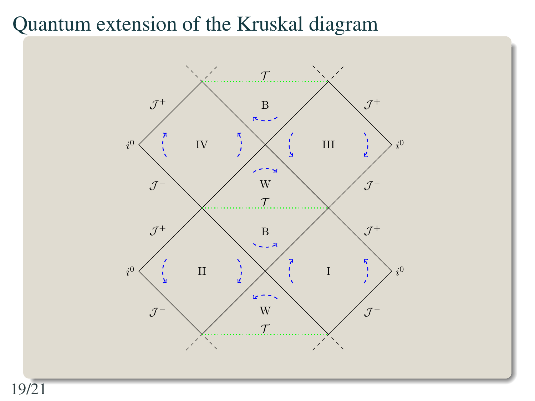#### Quantum extension of the Kruskal diagram

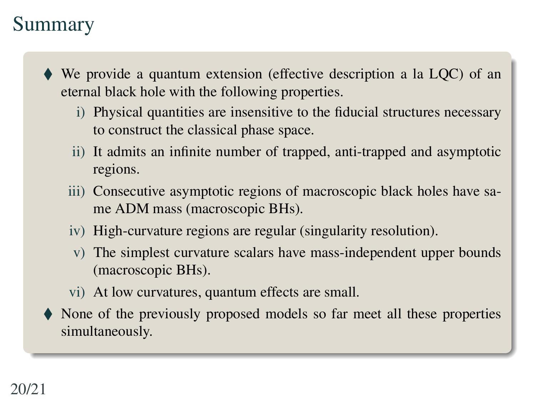#### Summary

- We provide a quantum extension (effective description a la LQC) of an eternal black hole with the following properties.
	- i) Physical quantities are insensitive to the fiducial structures necessary to construct the classical phase space.
	- ii) It admits an infinite number of trapped, anti-trapped and asymptotic regions.
	- iii) Consecutive asymptotic regions of macroscopic black holes have same ADM mass (macroscopic BHs).
	- iv) High-curvature regions are regular (singularity resolution).
	- v) The simplest curvature scalars have mass-independent upper bounds (macroscopic BHs).
	- vi) At low curvatures, quantum effects are small.
- None of the previously proposed models so far meet all these properties simultaneously.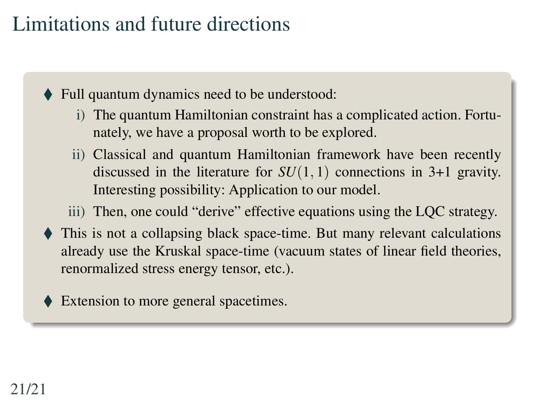## Limitations and future directions

◆ Full quantum dynamics need to be understood:

- i) The quantum Hamiltonian constraint has a complicated action. Fortunately, we have a proposal worth to be explored.
- ii) Classical and quantum Hamiltonian framework have been recently discussed in the literature for *SU*(1, 1) connections in 3+1 gravity. Interesting possibility: Application to our model.

iii) Then, one could "derive" effective equations using the LQC strategy.

- This is not a collapsing black space-time. But many relevant calculations already use the Kruskal space-time (vacuum states of linear field theories, renormalized stress energy tensor, etc.).
- Extension to more general spacetimes.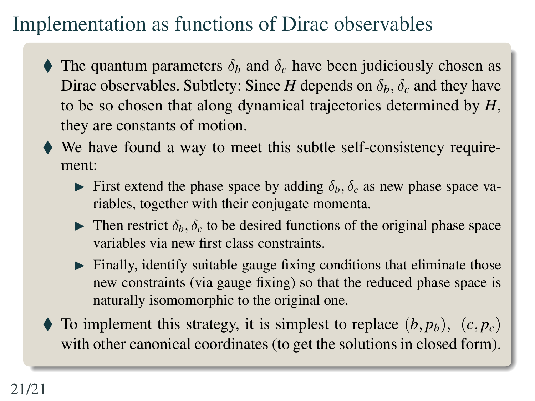# Implementation as functions of Dirac observables

- The quantum parameters  $\delta_b$  and  $\delta_c$  have been judiciously chosen as Dirac observables. Subtlety: Since *H* depends on  $\delta_h$ ,  $\delta_c$  and they have to be so chosen that along dynamical trajectories determined by *H*, they are constants of motion.
- We have found a way to meet this subtle self-consistency requirement:
	- First extend the phase space by adding  $\delta_b$ ,  $\delta_c$  as new phase space variables, together with their conjugate momenta.
	- **I** Then restrict  $\delta_b$ ,  $\delta_c$  to be desired functions of the original phase space variables via new first class constraints.
	- $\blacktriangleright$  Finally, identify suitable gauge fixing conditions that eliminate those new constraints (via gauge fixing) so that the reduced phase space is naturally isomomorphic to the original one.
- $\blacklozenge$  To implement this strategy, it is simplest to replace  $(b, p_b)$ ,  $(c, p_c)$ with other canonical coordinates (to get the solutions in closed form).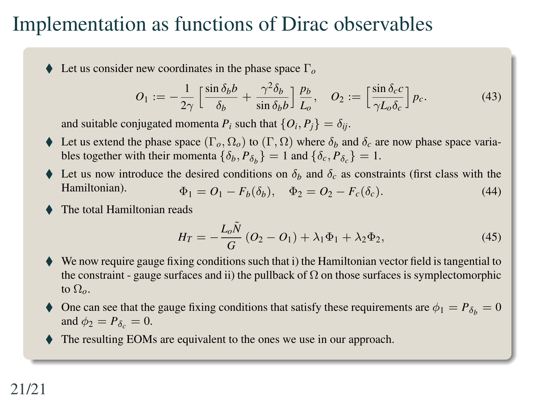#### Implementation as functions of Dirac observables

Let us consider new coordinates in the phase space Γ*<sup>o</sup>*

$$
O_1 := -\frac{1}{2\gamma} \left[ \frac{\sin \delta_b b}{\delta_b} + \frac{\gamma^2 \delta_b}{\sin \delta_b b} \right] \frac{p_b}{L_o}, \quad O_2 := \left[ \frac{\sin \delta_c c}{\gamma L_o \delta_c} \right] p_c.
$$
 (43)

and suitable conjugated momenta  $P_i$  such that  $\{O_i, P_j\} = \delta_{ij}$ .

- Ext us extend the phase space  $(\Gamma_o, \Omega_o)$  to  $(\Gamma, \Omega)$  where  $\delta_b$  and  $\delta_c$  are now phase space variables together with their momenta  $\{\delta_b, P_{\delta_b}\} = 1$  and  $\{\delta_c, P_{\delta_c}\} = 1$ .
- Let us now introduce the desired conditions on  $\delta_b$  and  $\delta_c$  as constraints (first class with the Hamiltonian).<br>  $\delta_b = O_b = E(\delta_a)$  (44)  $\Phi_1 = O_1 - F_b(\delta_b), \quad \Phi_2 = O_2 - F_c(\delta_c).$  (44)
- The total Hamiltonian reads

$$
H_T = -\frac{L_o \tilde{N}}{G} (O_2 - O_1) + \lambda_1 \Phi_1 + \lambda_2 \Phi_2,
$$
 (45)

- We now require gauge fixing conditions such that i) the Hamiltonian vector field is tangential to the constraint - gauge surfaces and ii) the pullback of  $\Omega$  on those surfaces is symplectomorphic to Ω*o*.
- One can see that the gauge fixing conditions that satisfy these requirements are  $\phi_1 = P_{\delta_b} = 0$ and  $\phi_2 = P_{\delta} = 0$ .
- The resulting EOMs are equivalent to the ones we use in our approach.